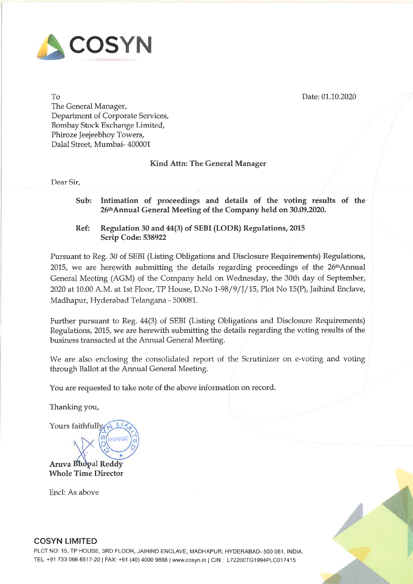

Date: 01.10.2020

To The General Manager, Department of Corporate Services, Bombay Stock Exchange Limited, Phiroze Jeejeebhoy Towers, Dalal Street, Mumbai- <sup>400001</sup>

### Kind Attn: The General Manager

Dear Sir,

- Sub: Intimation of proceedings and details of the voting results of the 26th Annual General Meeting of the Company held on 30.09.2020.
- Ref: Regulation <sup>30</sup> and 44(3) of SEBI (LODR) Regulations, <sup>2015</sup> Scrip Code: <sup>538922</sup>

Pursuant to Reg. <sup>30</sup> of SEBI (Listing Obligations and Disclosure Requirements) Regulations,  $2015$ , we are herewith submitting the details regarding proceedings of the  $26<sup>th</sup>$ Annual General Meeting (AGM) of the Company held on Wednesday, the 30th day of September, <sup>2020</sup> at 10.00 AM. at 1st Floor, TP House, D.No 1-98/9/J/15, Plot No 15(P), Jaihind Enclave, Madhapur, Hyderabad Telangana - 500081.

Further pursuan<sup>t</sup> to Reg. 44(3) of SEBI (Listing Obligations and Disclosure Requirements) Regulations, 2015, we are herewith submitting the details regarding the voting results of the business transacted at the Annual General Meeting.

We are also enclosing the consolidated repor<sup>t</sup> of the Scrutinizer on e-voting and voting through Ballot at the Annual General Meeting.

You are requested to take note of the above information on record.

Thanking you,

Yours faithfully **HYDERABAI** 

**Aruva Bhopal Reddy Whole Time Director** 

Encl: As above



### COSYN LIMITED

PLOT NO: 15, TP HOUSE, 3RD FLOOR, JAIHIND ENCLAVE, MADHAPUR, HYDERABAD- <sup>500</sup> 081, INDIA. TEL: +91 733 066 6517-20 | FAX: +91 (40) 4000 9888 | www.cosyn.in | CIN: L72200TG1994PLC017415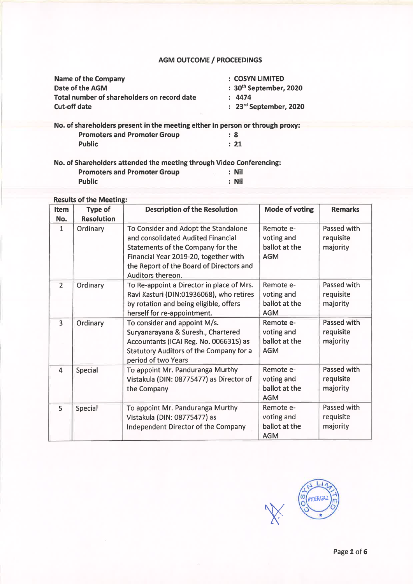## AGM OUTCOME/ PROCEEDINGS

| <b>Name of the Company</b>                                                    | : COSYN LIMITED             |
|-------------------------------------------------------------------------------|-----------------------------|
| Date of the AGM                                                               | $: 30th$ September, 2020    |
| Total number of shareholders on record date                                   | : 4474                      |
| <b>Cut-off date</b>                                                           | $: 23^{rd}$ September, 2020 |
|                                                                               |                             |
| No. of shareholders present in the meeting either in person or through proxy: |                             |

Promoters and Promoter Group : 8 Public : 21

No. of Shareholders attended the meeting through Video Conferencing:

| <b>Promoters and Promoter Group</b> | : Nil |
|-------------------------------------|-------|
| <b>Public</b>                       | : Nil |

# Results of the Meeting:

| Item<br>No.    | <b>Type of</b><br><b>Resolution</b> | <b>Description of the Resolution</b>                                                                                                                                                                                      | <b>Mode of voting</b>                                  | <b>Remarks</b>                              |
|----------------|-------------------------------------|---------------------------------------------------------------------------------------------------------------------------------------------------------------------------------------------------------------------------|--------------------------------------------------------|---------------------------------------------|
| $\mathbf{1}$   | Ordinary                            | To Consider and Adopt the Standalone<br>and consolidated Audited Financial<br>Statements of the Company for the<br>Financial Year 2019-20, together with<br>the Report of the Board of Directors and<br>Auditors thereon. | Remote e-<br>voting and<br>ballot at the<br><b>AGM</b> | Passed with<br>requisite<br>majority        |
| $\overline{2}$ | Ordinary                            | To Re-appoint a Director in place of Mrs.<br>Ravi Kasturi (DIN:01936068), who retires<br>by rotation and being eligible, offers<br>herself for re-appointment.                                                            | Remote e-<br>voting and<br>ballot at the<br><b>AGM</b> | Passed with<br>requisite<br>majority        |
| $\overline{3}$ | Ordinary                            | To consider and appoint M/s.<br>Suryanarayana & Suresh., Chartered<br>Accountants (ICAI Reg. No. 006631S) as<br><b>Statutory Auditors of the Company for a</b><br>period of two Years                                     | Remote e-<br>voting and<br>ballot at the<br><b>AGM</b> | <b>Passed with</b><br>requisite<br>majority |
| 4              | <b>Special</b>                      | To appoint Mr. Panduranga Murthy<br>Vistakula (DIN: 08775477) as Director of<br>the Company                                                                                                                               | Remote e-<br>voting and<br>ballot at the<br><b>AGM</b> | Passed with<br>requisite<br>majority        |
| 5              | Special                             | To appoint Mr. Panduranga Murthy<br>Vistakula (DIN: 08775477) as<br>Independent Director of the Company                                                                                                                   | Remote e-<br>voting and<br>ballot at the<br><b>AGM</b> | Passed with<br>requisite<br>majority        |

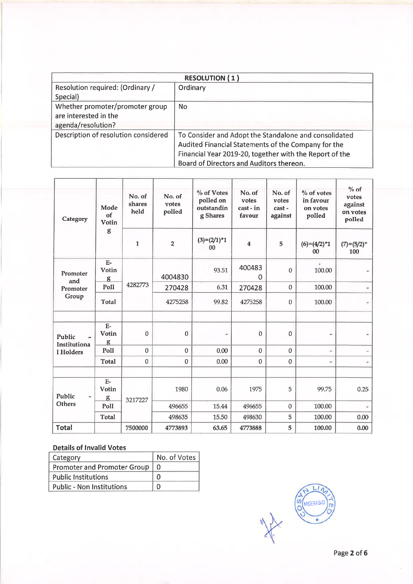|                                      | <b>RESOLUTION (1)</b>                                   |
|--------------------------------------|---------------------------------------------------------|
| Resolution required: (Ordinary /     | Ordinary                                                |
| Special)                             |                                                         |
| Whether promoter/promoter group      | <b>No</b>                                               |
| are interested in the                |                                                         |
| agenda/resolution?                   |                                                         |
| Description of resolution considered | To Consider and Adopt the Standalone and consolidated   |
|                                      | Audited Financial Statements of the Company for the     |
|                                      | Financial Year 2019-20, together with the Report of the |
|                                      | Board of Directors and Auditors thereon.                |

| Category                                     | Mode<br>of<br>Votin        | No. of<br>shares<br>held | No. of<br>votes<br>polled | % of Votes<br>polled on<br>outstandin<br>g Shares | No. of<br>votes<br>cast - in<br>favour | No. of<br>votes<br>cast-<br>against | $%$ of votes<br>in favour<br>on votes<br>polled | $%$ of<br>votes<br>against<br>on votes<br>polled |
|----------------------------------------------|----------------------------|--------------------------|---------------------------|---------------------------------------------------|----------------------------------------|-------------------------------------|-------------------------------------------------|--------------------------------------------------|
|                                              | g                          | $\mathbf{1}$             | $\overline{\mathbf{2}}$   | $(3)=(2/1)^*1$<br>00                              | $\overline{\mathbf{4}}$                | 5                                   | $(6)=(4/2)^*1$<br>00                            | $(7)=(5/2)^{*}$<br>100                           |
| Promoter<br>and                              | $E-$<br>Votin<br>g         |                          | 4004830                   | 93.51                                             | 400483<br>Ω                            | $\Omega$                            | 100.00                                          |                                                  |
| Promoter<br>Group                            | Poll                       | 4282773                  | 270428                    | 6.31                                              | 270428                                 | $\mathbf{0}$                        | 100.00                                          |                                                  |
|                                              | <b>Total</b>               |                          | 4275258                   | 99.82                                             | 4275258                                | $\mathbf 0$                         | 100.00                                          |                                                  |
| Public<br>Institutiona                       | $\mathbf{E}$<br>Votin<br>g | $\mathbf 0$              | $\boldsymbol{0}$          | ۰                                                 | $\mathbf{0}$                           | $\mathbf 0$                         | ۳                                               |                                                  |
| l Holders                                    | Poll                       | $\mathbf{0}$             | $\mathbf 0$               | 0.00                                              | $\mathbf{0}$                           | $\mathbf{0}$                        | g,                                              |                                                  |
|                                              | <b>Total</b>               | $\mathbf{0}$             | $\mathbf 0$               | 0.00                                              | $\mathbf{0}$                           | $\bf{0}$                            | ÷                                               |                                                  |
| Public<br>$\overline{\phantom{a}}$<br>Others | $E-$<br>Votin<br>g         | 3217227                  | 1980                      | 0.06                                              | 1975                                   | 5                                   | 99.75                                           | 0.25                                             |
|                                              | Poll                       |                          | 496655                    | 15.44                                             | 496655                                 | $\pmb{0}$                           | 100.00                                          |                                                  |
|                                              | <b>Total</b>               |                          | 498635                    | 15.50                                             | 498630                                 | 5                                   | 100.00                                          | 0.00                                             |
| <b>Total</b>                                 |                            | 7500000                  | 4773893                   | 63.65                                             | 4773888                                | 5                                   | 100.00                                          | 0.00                                             |

| Category                         | No. of Votes |
|----------------------------------|--------------|
| Promoter and Promoter Group      |              |
| <b>Public Institutions</b>       |              |
| <b>Public - Non Institutions</b> |              |

MANUSCRIPTION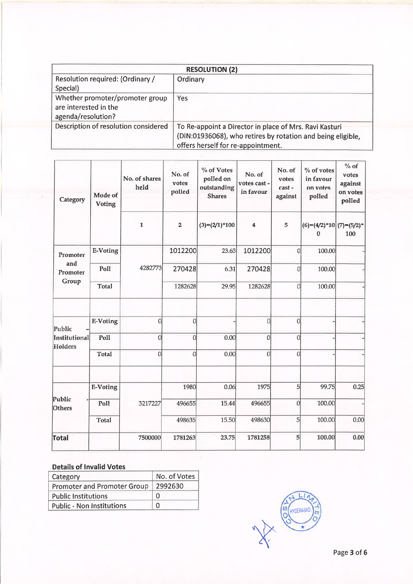| <b>RESOLUTION (2)</b>                |                                                             |  |  |  |  |
|--------------------------------------|-------------------------------------------------------------|--|--|--|--|
| Resolution required: (Ordinary /     | Ordinary                                                    |  |  |  |  |
| Special)                             |                                                             |  |  |  |  |
| Whether promoter/promoter group      | Yes                                                         |  |  |  |  |
| are interested in the                |                                                             |  |  |  |  |
| agenda/resolution?                   |                                                             |  |  |  |  |
| Description of resolution considered | To Re-appoint a Director in place of Mrs. Ravi Kasturi      |  |  |  |  |
|                                      | (DIN:01936068), who retires by rotation and being eligible, |  |  |  |  |
|                                      | offers herself for re-appointment.                          |  |  |  |  |

| Category                 | Mode of<br>Voting | No. of shares<br>held | No. of<br>votes<br>polled | % of Votes<br>polled on<br>outstanding<br><b>Shares</b> | No. of<br>votes cast -<br>in favour | No. of<br>votes<br>cast-<br>against | % of votes<br>in favour<br>on votes<br>polled | $%$ of<br>votes<br>against<br>on votes<br>polled |
|--------------------------|-------------------|-----------------------|---------------------------|---------------------------------------------------------|-------------------------------------|-------------------------------------|-----------------------------------------------|--------------------------------------------------|
|                          |                   | $\mathbf 1$           | $\overline{2}$            | $(3)=(2/1)*100$                                         | $\boldsymbol{4}$                    | 5                                   | $(6)=(4/2)*10 (7)=(5/2)*$<br>$\bf{0}$         | 100                                              |
| Promoter                 | <b>E-Voting</b>   |                       | 1012200                   | 23.63                                                   | 1012200                             | 0                                   | 100.00                                        |                                                  |
| and<br>Promoter          | Poll              | 4282773               | 270428                    | 6.31                                                    | 270428                              | $\mathbf{0}$                        | 100.00                                        |                                                  |
| Group                    | <b>Total</b>      |                       | 1282628                   | 29.95                                                   | 1282628                             | $\overline{0}$                      | 100.00                                        |                                                  |
| Public                   | E-Voting          | $\mathbf 0$           | $\mathbf{0}$              |                                                         | 0                                   | $\mathbf{0}$                        |                                               |                                                  |
| Institutional<br>Holders | Poll              | $\overline{0}$        | $\overline{0}$            | 0.00                                                    | 0                                   | $\boldsymbol{0}$                    |                                               |                                                  |
|                          | <b>Total</b>      | 0                     | $\overline{0}$            | 0.00                                                    | $\boldsymbol{0}$                    | $\overline{0}$                      |                                               |                                                  |
|                          | <b>E-Voting</b>   |                       | 1980                      | 0.06                                                    | 1975                                | 5                                   | 99.75                                         | 0.25                                             |
| Public<br><b>Others</b>  | Poll<br>3217227   |                       | 496655                    | 15.44                                                   | 496655                              | $\overline{0}$                      | 100.00                                        |                                                  |
|                          | <b>Total</b>      |                       | 498635                    | 15.50                                                   | 498630                              | 5                                   | 100.00                                        | 0.00                                             |
| <b>Total</b>             |                   | 7500000               | 1781263                   | 23.75                                                   | 1781258                             | 5                                   | 100.00                                        | 0.00                                             |

| Category                         | No. of Votes |
|----------------------------------|--------------|
| Promoter and Promoter Group      | 2992630      |
| <b>Public Institutions</b>       | n            |
| <b>Public - Non Institutions</b> | n            |

**OO HYDERABAD**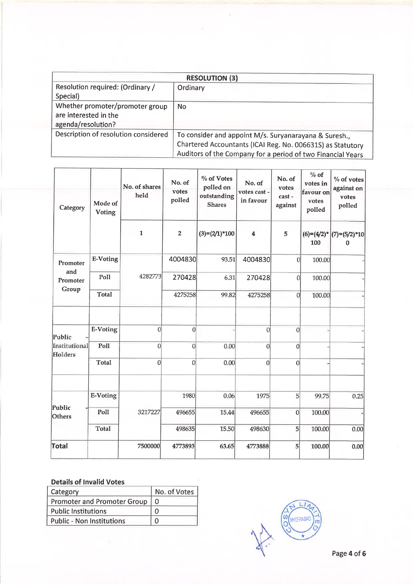|                                                                                | <b>RESOLUTION (3)</b>                                                                                                                                                              |  |  |  |  |
|--------------------------------------------------------------------------------|------------------------------------------------------------------------------------------------------------------------------------------------------------------------------------|--|--|--|--|
| Resolution required: (Ordinary /<br>Special)                                   | Ordinary                                                                                                                                                                           |  |  |  |  |
| Whether promoter/promoter group<br>are interested in the<br>agenda/resolution? | <b>No</b>                                                                                                                                                                          |  |  |  |  |
| Description of resolution considered                                           | To consider and appoint M/s. Suryanarayana & Suresh.,<br>Chartered Accountants (ICAI Reg. No. 006631S) as Statutory<br>Auditors of the Company for a period of two Financial Years |  |  |  |  |

| Category                 | Mode of<br><b>Voting</b> | No. of shares<br>held | No. of<br>votes<br>polled | % of Votes<br>polled on<br>outstanding<br><b>Shares</b> | No. of<br>votes cast -<br>in favour | No. of<br>votes<br>cast-<br>against | $%$ of<br>votes in<br>favour on<br>votes<br>polled | % of votes<br>against on<br>votes<br>polled |
|--------------------------|--------------------------|-----------------------|---------------------------|---------------------------------------------------------|-------------------------------------|-------------------------------------|----------------------------------------------------|---------------------------------------------|
|                          |                          | $\mathbf{1}$          | $\mathbf 2$               | $(3)=(2/1)*100$                                         | 4                                   | 5                                   | 100                                                | $(6)=(4/2)^{*}$ (7)=(5/2)*10<br>$\bf{0}$    |
| Promoter                 | <b>E-Voting</b>          |                       | 4004830                   | 93.51                                                   | 4004830                             | $\mathbf{0}$                        | 100.00                                             |                                             |
| and<br>Promoter          | Poll                     | 4282773               | 270428                    | 6.31                                                    | 270428                              | $\overline{0}$                      | 100.00                                             |                                             |
| Group                    | <b>Total</b>             |                       | 4275258                   | 99.82                                                   | 4275258                             | $\boldsymbol{0}$                    | 100.00                                             |                                             |
| Public                   | <b>E-Voting</b>          | $\overline{0}$        | $\mathbf{0}$              |                                                         | $\overline{0}$                      | $\overline{0}$                      |                                                    |                                             |
| Institutional<br>Holders | Poll                     | $\mathbf{0}$          | $\overline{0}$            | 0.00                                                    | $\overline{0}$                      | 0                                   |                                                    |                                             |
|                          | <b>Total</b>             | 0                     | $\overline{0}$            | 0.00                                                    | $\vert$                             | 0                                   |                                                    |                                             |
|                          | <b>E-Voting</b>          |                       | 1980                      | 0.06                                                    | 1975                                | 5                                   | 99.75                                              | 0.25                                        |
| Public<br><b>Others</b>  | Poll                     | 3217227               | 496655                    | 15.44                                                   | 496655                              | $\overline{0}$                      | 100.00                                             |                                             |
|                          | Total                    |                       | 498635                    | 15.50                                                   | 498630                              | 5 <sup>1</sup>                      | 100.00                                             | 0.00                                        |
| <b>Total</b>             |                          | 7500000               | 4773893                   | 63.65                                                   | 4773888                             | $\mathbf{5}$                        | 100.00                                             | 0.00                                        |

| Category                           | No. of Votes |
|------------------------------------|--------------|
| <b>Promoter and Promoter Group</b> |              |
| <b>Public Institutions</b>         |              |
| <b>Public - Non Institutions</b>   | n            |

**SO HYDERABAD**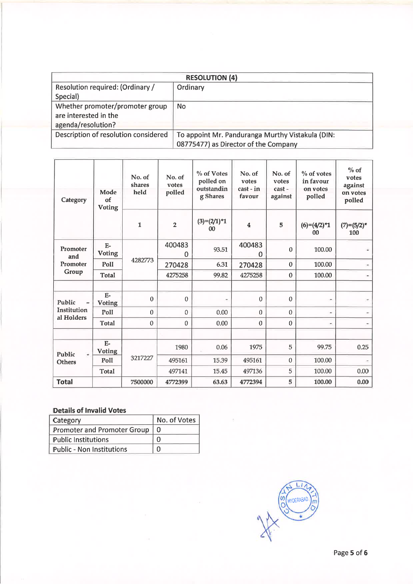| <b>RESOLUTION (4)</b>                |                                                  |  |  |  |  |  |
|--------------------------------------|--------------------------------------------------|--|--|--|--|--|
| Resolution required: (Ordinary /     | Ordinary                                         |  |  |  |  |  |
| Special)                             |                                                  |  |  |  |  |  |
| Whether promoter/promoter group      | No.                                              |  |  |  |  |  |
| are interested in the                |                                                  |  |  |  |  |  |
| agenda/resolution?                   |                                                  |  |  |  |  |  |
| Description of resolution considered | To appoint Mr. Panduranga Murthy Vistakula (DIN: |  |  |  |  |  |
|                                      | 08775477) as Director of the Company             |  |  |  |  |  |

| Category                  | Mode<br>of<br><b>Voting</b> | No. of<br>shares<br>held | No. of<br>votes<br>polled | % of Votes<br>polled on<br>outstandin<br>g Shares | No. of<br>votes<br>cast - in<br>favour | No. of<br>votes<br>cast-<br>against | $%$ of votes<br>in favour<br>on votes<br>polled | $%$ of<br>votes<br>against<br>on votes<br>polled |  |
|---------------------------|-----------------------------|--------------------------|---------------------------|---------------------------------------------------|----------------------------------------|-------------------------------------|-------------------------------------------------|--------------------------------------------------|--|
|                           |                             | 1                        | $\overline{2}$            | $(3)=(2/1)^*1$<br>00                              | $\overline{\bf{4}}$                    | 5                                   | $(6)=(4/2)^*1$<br>00                            | $(7)=(5/2)^{*}$<br>100                           |  |
| Promoter<br>and           | $E-$<br><b>Voting</b>       |                          | 400483<br>0               | 93.51                                             | 400483<br>$\Omega$                     | $\Omega$                            | 100.00                                          |                                                  |  |
| Promoter                  | Poll                        | 4282773                  | 270428                    | 6.31                                              | 270428                                 | $\mathbf 0$                         | 100.00                                          |                                                  |  |
| Group                     | <b>Total</b>                |                          | 4275258                   | 99.82                                             | 4275258                                | $\bf{0}$                            | 100.00                                          |                                                  |  |
|                           |                             |                          |                           |                                                   |                                        |                                     |                                                 |                                                  |  |
| Public                    | $E-$<br>Voting              | $\mathbf{0}$             | $\mathbf{0}$              | $\qquad \qquad \blacksquare$                      | $\mathbf{0}$                           | $\mathbf{0}$                        |                                                 |                                                  |  |
| Institution<br>al Holders | Poll                        | $\theta$                 | $\mathbf{0}$              | 0.00                                              | $\bf{0}$                               | $\mathbf{0}$                        |                                                 |                                                  |  |
|                           | <b>Total</b>                | $\mathbf 0$              | $\mathbf{0}$              | 0.00                                              | $\mathbf{0}$                           | $\mathbf{0}$                        | ۰                                               |                                                  |  |
|                           |                             |                          |                           |                                                   |                                        |                                     |                                                 |                                                  |  |
| Public<br>$\frac{1}{2}$   | $E-$<br><b>Voting</b>       |                          | 1980                      | 0.06                                              | 1975                                   | 5                                   | 99.75                                           | 0.25                                             |  |
| Others                    | Poll                        | 3217227                  | 495161                    | 15.39                                             | 495161                                 | $\overline{0}$                      | 100.00                                          |                                                  |  |
|                           | Total                       |                          | 497141                    | 15.45                                             | 497136                                 | 5                                   | 100.00                                          | 0.00                                             |  |
| <b>Total</b>              |                             | 7500000                  | 4772399                   | 63.63                                             | 4772394                                | 5                                   | 100.00                                          | 0.00                                             |  |

| Category                           | No. of Votes |
|------------------------------------|--------------|
| <b>Promoter and Promoter Group</b> | $\Omega$     |
| <b>Public Institutions</b>         |              |
| <b>Public - Non Institutions</b>   |              |

**COLLAND COLLAND**  $\mathsf{m}$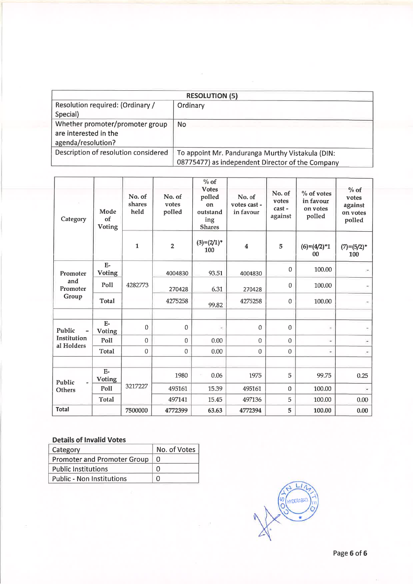| <b>RESOLUTION (5)</b>                |                                                  |  |  |  |  |  |
|--------------------------------------|--------------------------------------------------|--|--|--|--|--|
| Resolution required: (Ordinary /     | Ordinary                                         |  |  |  |  |  |
| Special)                             |                                                  |  |  |  |  |  |
| Whether promoter/promoter group      | <b>No</b>                                        |  |  |  |  |  |
| are interested in the                |                                                  |  |  |  |  |  |
| agenda/resolution?                   |                                                  |  |  |  |  |  |
| Description of resolution considered | To appoint Mr. Panduranga Murthy Vistakula (DIN: |  |  |  |  |  |
|                                      | 08775477) as independent Director of the Company |  |  |  |  |  |

| Category        | Mode<br>of<br><b>Voting</b> | No. of<br>shares<br>held | No. of<br>votes<br>polled | $\sqrt[0]{\phantom{0}}$ of<br><b>Votes</b><br>polled<br>$_{0n}$<br>outstand<br>ing<br><b>Shares</b> | No. of<br>votes cast -<br>in favour | No. of<br>votes<br>cast-<br>against | % of votes<br>in favour<br>on votes<br>polled | $%$ of<br>votes<br>against<br>on votes<br>polled |
|-----------------|-----------------------------|--------------------------|---------------------------|-----------------------------------------------------------------------------------------------------|-------------------------------------|-------------------------------------|-----------------------------------------------|--------------------------------------------------|
|                 |                             | $\mathbf{1}$             | $\overline{2}$            | $(3)=(2/1)^{*}$<br>100                                                                              | $\boldsymbol{4}$                    | 5                                   | $(6)=(4/2)^*1$<br>00                          | $(7)=(5/2)^{*}$<br>100                           |
| Promoter        | $E-$<br><b>Voting</b>       |                          | 4004830                   | 93.51                                                                                               | 4004830                             | $\mathbf{0}$                        | 100.00                                        |                                                  |
| and<br>Promoter | Poll                        | 4282773                  | 270428                    | 6.31                                                                                                | 270428                              | $\mathbf{0}$                        | 100.00                                        |                                                  |
| Group           | Total                       |                          | 4275258                   | 99.82                                                                                               | 4275258                             | $\mathbf{0}$                        | 100.00                                        |                                                  |
|                 |                             |                          |                           |                                                                                                     |                                     |                                     |                                               |                                                  |
| Public          | $E-$<br><b>Voting</b>       | $\Omega$                 | $\mathbf 0$               | Ξ                                                                                                   | $\mathbf{0}$                        | $\mathbf{0}$                        | $\overline{a}$                                |                                                  |
| Institution     | Poll                        | $\mathbf{0}$             | $\mathbf{0}$              | 0.00                                                                                                | $\boldsymbol{0}$                    | $\Omega$                            | ٠                                             |                                                  |
| al Holders      | <b>Total</b>                | $\mathbf{0}$             | $\mathbf{0}$              | 0.00                                                                                                | $\mathbf{0}$                        | $\mathbf{0}$                        | $\overline{\phantom{a}}$                      |                                                  |
|                 |                             |                          |                           |                                                                                                     |                                     |                                     |                                               |                                                  |
| Public          | $E-$<br><b>Voting</b>       |                          | 1980                      | 0.06                                                                                                | 1975                                | 5                                   | 99.75                                         | 0.25                                             |
| Others          | Poll                        | 3217227                  | 495161                    | 15.39                                                                                               | 495161                              | $\Omega$                            | 100.00                                        |                                                  |
|                 | <b>Total</b>                |                          | 497141                    | 15.45                                                                                               | 497136                              | 5                                   | 100.00                                        | 0.00                                             |
| <b>Total</b>    |                             | 7500000                  | 4772399                   | 63.63                                                                                               | 4772394                             | 5                                   | 100.00                                        | 0.00                                             |

| Category                           | No. of Votes |
|------------------------------------|--------------|
| <b>Promoter and Promoter Group</b> | 0            |
| <b>Public Institutions</b>         | n            |
| <b>Public - Non Institutions</b>   |              |

**O HYDERABAD** m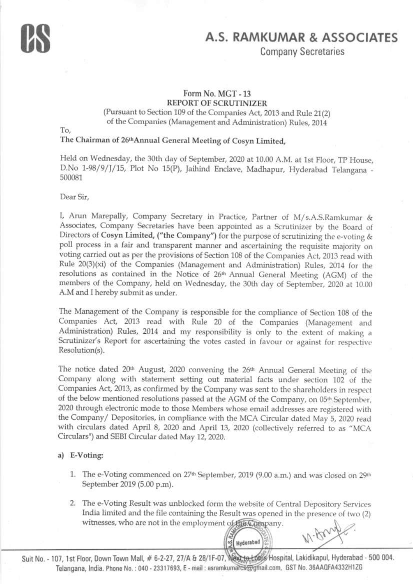Company Secretaries

# Form No. MGT - 13 Fom No. MCT - 13 REPORT OF SCRUTINIZER REPORT OI SCRUI'INIZER

(Pursuant to Section 109 of the Companies Act, 2013 and Rule 21(2) of the Companies (Management and Administration) Rules, 2014

To,

# The Chairman of 26<sup>th</sup>Annual General Meeting of Cosyn Limited,

Held on Wednesday, the 30th day of September, 2020 at 10.00 A.M. at 1st Floor, TP House, D.No 1-98/9/J/15, Plot No 15(P), Jaihind Enclave, Madhapur, Hyderabad Telangana<br>500081 500081

Dear Sir,

I, Arun Marepally, Company Secretary in Practice, Partner of M/s.A.S.Ramkumar & Associates, Company Secretaries have been appointed as a Scrutinizer by the Board of Directors of Cosyn Limited, ("the Company") for the purpose of scrutinizing the e-voting & poll process in a fair and transparent manner and ascertaining the requisite majority on voting carried out as per the provisions of Section 108 of the Companies Act, 2013 read with Rule 20(3)(xi) of the Companies (Management and Administration) Rules, 2014 for the resolutions as contained in the Notice of 26<sup>th</sup> Annual General Meeting (AGM) of the members of the Company, held on Wednesday, the 30th day of September, 2020 at 10.00 A.M and I hereby submit as under.

The Management of the Company is responsible for the compliance of Section 108 of the Companies Act, 2013 read with Rule 20 of the Companies (Management and Administration) Rules, 2014 and my responsibility is only to the extent of making a  $S$  or Hinizon's P ones for oscarbining the rote and  $I$  is  $f$ Scrutinizer's Report for ascertaining the votes casted in favour or against for respective Resolution(s).

The notice dated 20<sup>th</sup> August, 2020 convening the 26<sup>th</sup> Annual General Meeting of the Company along with statement setting out material facts under section 102 of the Companies Act, 2013, as confirmed by the Company was sent to the shareholders in respect of the below mentioned resolutions passed at the AGM of the Company, on 05<sup>th</sup> September, 2020 through electronic mode to those Members whose email addresses are registered with the Company/ Depositories, in compliance with the MCA Circular dated May 5, 2020 read with circulars dated April 8, 2020 and April 13, 2020 (collectively referred to as "MCA Circulars") and SEBI Circular dated May 12, 2020.

#### a) E-Voting:

- 1. The e-Voting commenced on 27<sup>th</sup> September, 2019 (9.00 a.m.) and was closed on 29<sup>th</sup> September 2019 (5.00 p.m).
- 2. The e-Voting Result was unblocked form the website of Central Depository Services India limited and the file containing the Result was opened in the presence of two (2) witnesses, who are not in the employment of the Compa  $W \cdot \beta w \sqrt{1 + \beta^2}$

?

of Hyderabad

Suit No. - 107, 1st Floor, Down Town Mall, # 6-2-27, 27/A & 28/1F-07, Next to this Hospital, Lakidikapul, Hyderabad - 500 004 Telangana, India. Phone No.: 040 - 23317693, E - mail : asramkuma <del>cs@gmail.com, GST No. 36AA0FA4332H1ZG</del>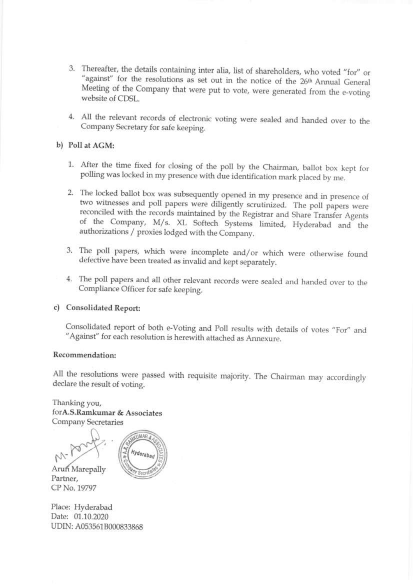- 3. Thereafter, the details containing inter alia, list of shareholders, who voted "for" or "against" for the resolutions as set out in the notice of the 26<sup>th</sup> Annual General Meeting of the Company that were put to vote, were generated from the e-voting website of CDSL. against" for the resolutions as set out in the notice of the  $26<sup>th</sup>$  Annual General website of CDSL.
- 4. All the relevant records of electronic voting were sealed and handed over to the Company Secretary for safe keeping. Company Secretary for safe keeping.

# b) Poll at ACM:

- 1. After the time fixed for closing of the poll by the Chairman, ballot box kept for polling was locked in my presence with due identification mark placed by me.
- 2. The locked ballot box was subsequently opened in my presence and in presence of two witnesses and poll papers were diligently scrutinized. The poll papers were two witnesses and poll papers were diligently scrutinized. The poll papers were<br>reconciled with the records maintained by the Registrar and Share Transfer Agents<br>of the Company, M/s. XL Softech Systems limited, Hyderabad a of the Company, M/s. XL Softech Systems limited, Hyderabad and the authorizations / proxies lodged with the Company. 2. The locked ballot box was subsequently opened in my presence and in presence of two witnesses and poll papers were diligently scrutinized. The poll papers were reconciled with the records maintained by the Registrar an
- 3. The poll papers, which were incomplete and/or which were otherwise found defective have been treated as invalid and kept separately.
- 4. The poll papers and all other relevant records were sealed and handed over to the Compliance Officer for safe keeping. Compliance Officer for safe keeping.

# c) Consolidated Report:

Consolidated report of both e-Voting and Poll results with details of votes "For" and<br>"Against" for each resolution is herewith attached as Annexure. "Against" for each resolution is herewith attached as Annexure.

#### Recommendation:

All the resolutions were passed with requisite majority. The Chairman may accordingly declare the result of voting. declare the result of voting.

Thanking you, for A.S.Ramkumar & Associates Company Secretaries

D . . . . OWNUMAR & RIGO Arun Marepally Charges Secretary Partner, CP No.19797 Sc Associates

Place: Hyderabad Date: 01.10.2020 UDIN: A053561B000833868